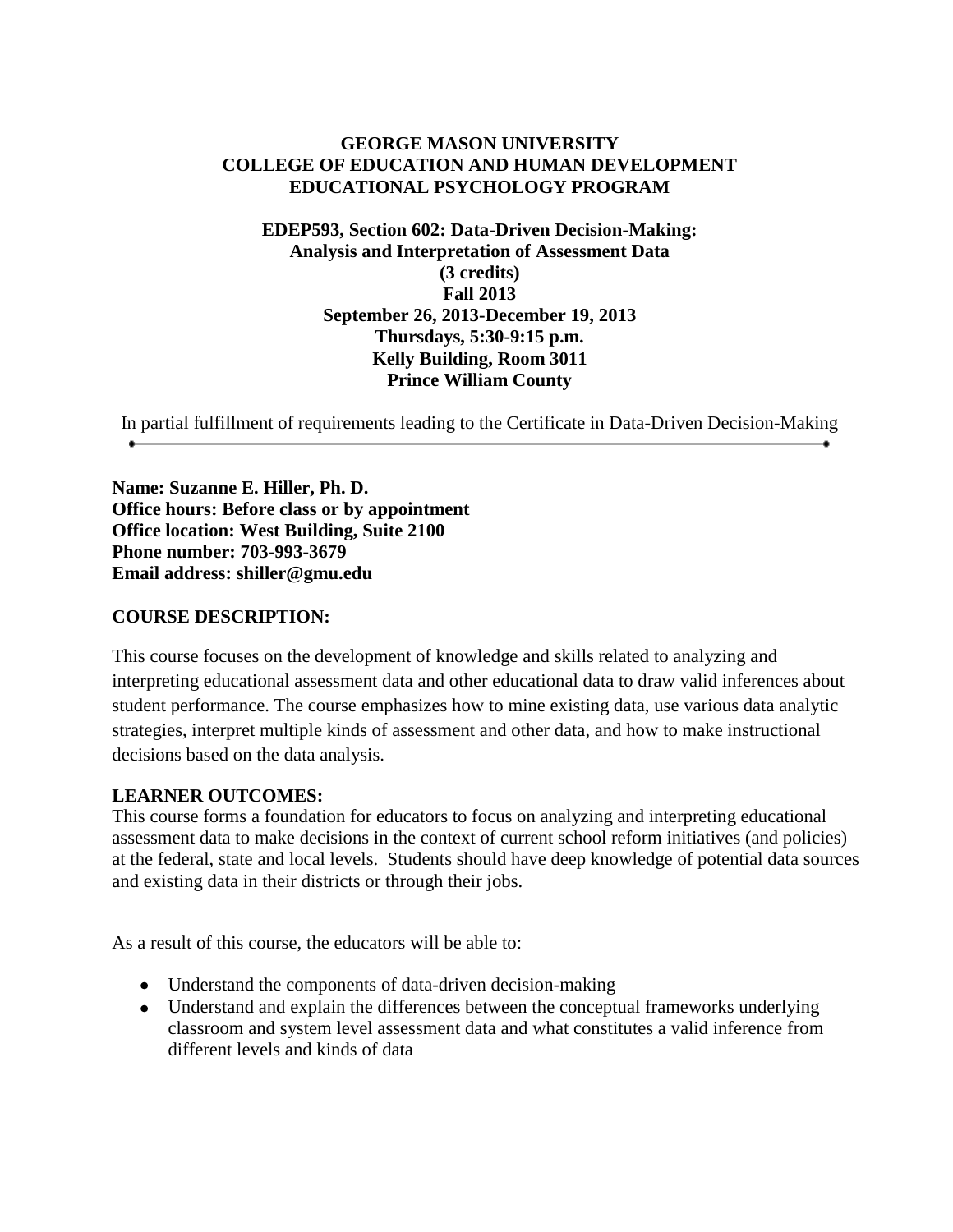#### **GEORGE MASON UNIVERSITY COLLEGE OF EDUCATION AND HUMAN DEVELOPMENT EDUCATIONAL PSYCHOLOGY PROGRAM**

#### **EDEP593, Section 602: Data-Driven Decision-Making: Analysis and Interpretation of Assessment Data (3 credits) Fall 2013 September 26, 2013-December 19, 2013 Thursdays, 5:30-9:15 p.m. Kelly Building, Room 3011 Prince William County**

In partial fulfillment of requirements leading to the Certificate in Data-Driven Decision-Making

**Name: Suzanne E. Hiller, Ph. D. Office hours: Before class or by appointment Office location: West Building, Suite 2100 Phone number: 703-993-3679 Email address: shiller@gmu.edu**

#### **COURSE DESCRIPTION:**

This course focuses on the development of knowledge and skills related to analyzing and interpreting educational assessment data and other educational data to draw valid inferences about student performance. The course emphasizes how to mine existing data, use various data analytic strategies, interpret multiple kinds of assessment and other data, and how to make instructional decisions based on the data analysis.

#### **LEARNER OUTCOMES:**

This course forms a foundation for educators to focus on analyzing and interpreting educational assessment data to make decisions in the context of current school reform initiatives (and policies) at the federal, state and local levels. Students should have deep knowledge of potential data sources and existing data in their districts or through their jobs.

As a result of this course, the educators will be able to:

- Understand the components of data-driven decision-making
- Understand and explain the differences between the conceptual frameworks underlying classroom and system level assessment data and what constitutes a valid inference from different levels and kinds of data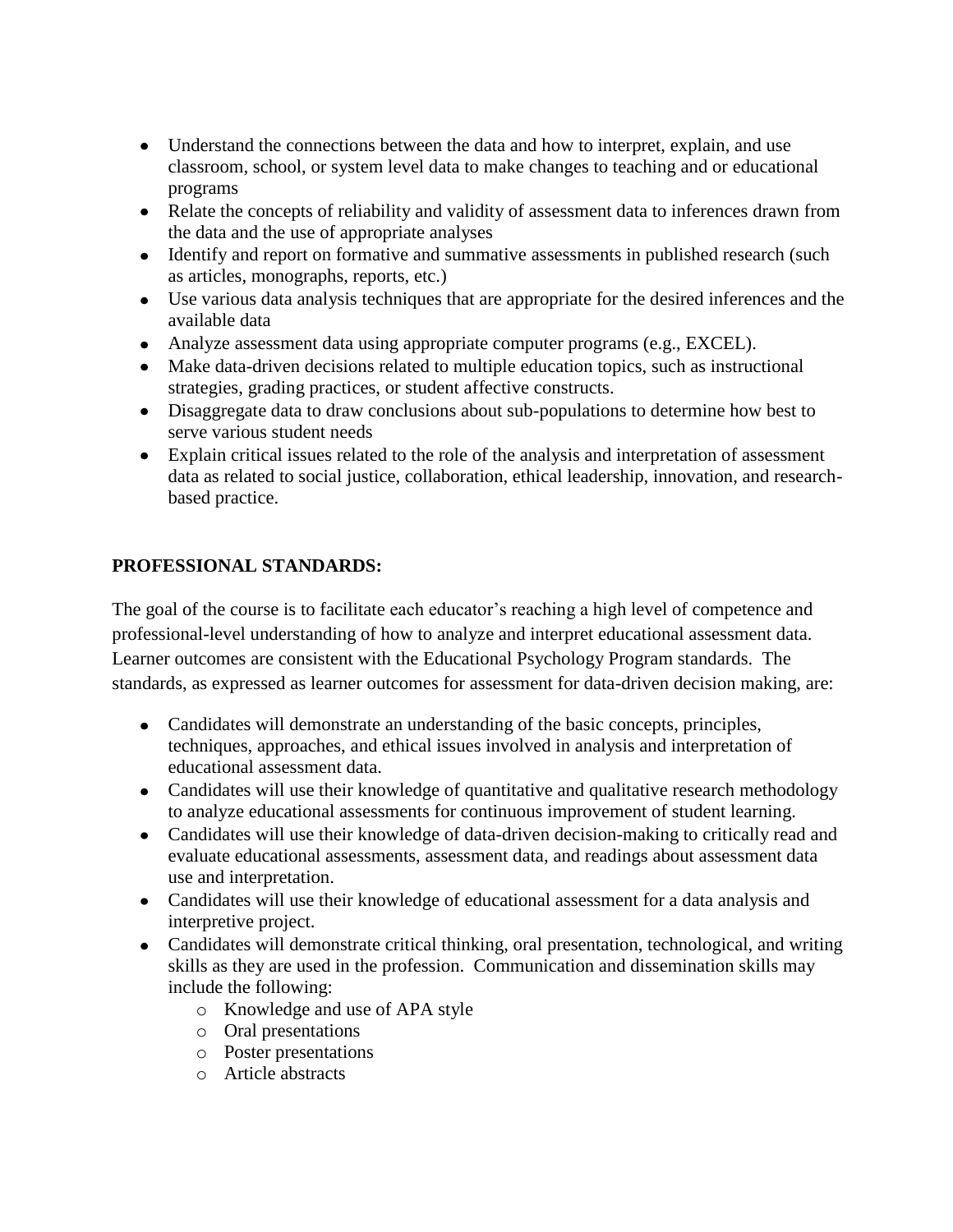- Understand the connections between the data and how to interpret, explain, and use classroom, school, or system level data to make changes to teaching and or educational programs
- Relate the concepts of reliability and validity of assessment data to inferences drawn from the data and the use of appropriate analyses
- Identify and report on formative and summative assessments in published research (such as articles, monographs, reports, etc.)
- Use various data analysis techniques that are appropriate for the desired inferences and the available data
- Analyze assessment data using appropriate computer programs (e.g., EXCEL).
- Make data-driven decisions related to multiple education topics, such as instructional strategies, grading practices, or student affective constructs.
- Disaggregate data to draw conclusions about sub-populations to determine how best to serve various student needs
- Explain critical issues related to the role of the analysis and interpretation of assessment data as related to social justice, collaboration, ethical leadership, innovation, and researchbased practice.

# **PROFESSIONAL STANDARDS:**

The goal of the course is to facilitate each educator's reaching a high level of competence and professional-level understanding of how to analyze and interpret educational assessment data. Learner outcomes are consistent with the Educational Psychology Program standards. The standards, as expressed as learner outcomes for assessment for data-driven decision making, are:

- Candidates will demonstrate an understanding of the basic concepts, principles, techniques, approaches, and ethical issues involved in analysis and interpretation of educational assessment data.
- Candidates will use their knowledge of quantitative and qualitative research methodology to analyze educational assessments for continuous improvement of student learning.
- Candidates will use their knowledge of data-driven decision-making to critically read and evaluate educational assessments, assessment data, and readings about assessment data use and interpretation.
- Candidates will use their knowledge of educational assessment for a data analysis and interpretive project.
- Candidates will demonstrate critical thinking, oral presentation, technological, and writing skills as they are used in the profession. Communication and dissemination skills may include the following:
	- o Knowledge and use of APA style
	- o Oral presentations
	- o Poster presentations
	- o Article abstracts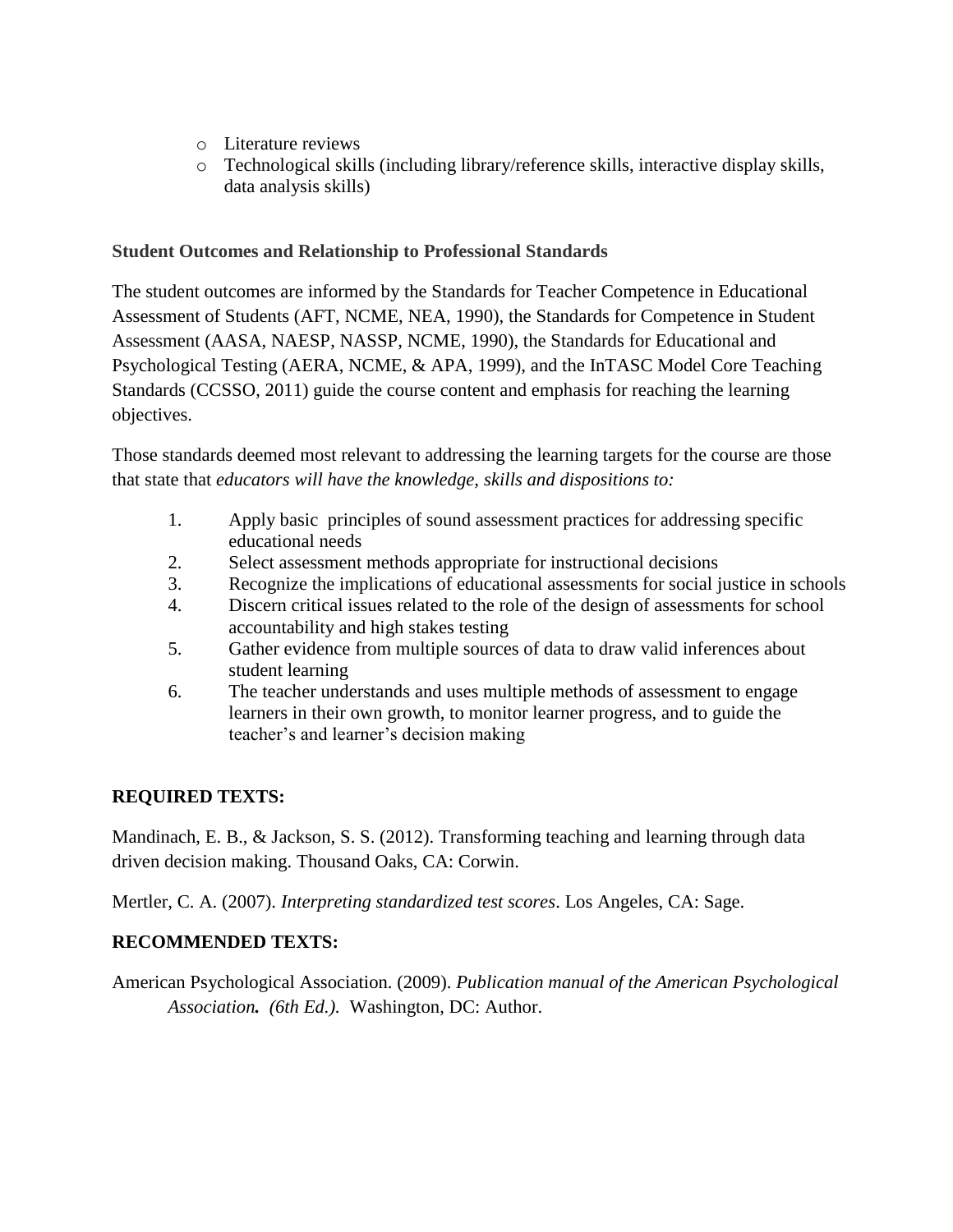- o Literature reviews
- o Technological skills (including library/reference skills, interactive display skills, data analysis skills)

### **Student Outcomes and Relationship to Professional Standards**

The student outcomes are informed by the Standards for Teacher Competence in Educational Assessment of Students (AFT, NCME, NEA, 1990), the Standards for Competence in Student Assessment (AASA, NAESP, NASSP, NCME, 1990), the Standards for Educational and Psychological Testing (AERA, NCME, & APA, 1999), and the InTASC Model Core Teaching Standards (CCSSO, 2011) guide the course content and emphasis for reaching the learning objectives.

Those standards deemed most relevant to addressing the learning targets for the course are those that state that *educators will have the knowledge, skills and dispositions to:*

- 1. Apply basic principles of sound assessment practices for addressing specific educational needs
- 2. Select assessment methods appropriate for instructional decisions
- 3. Recognize the implications of educational assessments for social justice in schools
- 4. Discern critical issues related to the role of the design of assessments for school accountability and high stakes testing
- 5. Gather evidence from multiple sources of data to draw valid inferences about student learning
- 6. The teacher understands and uses multiple methods of assessment to engage learners in their own growth, to monitor learner progress, and to guide the teacher's and learner's decision making

# **REQUIRED TEXTS:**

Mandinach, E. B., & Jackson, S. S. (2012). Transforming teaching and learning through data driven decision making. Thousand Oaks, CA: Corwin.

Mertler, C. A. (2007). *Interpreting standardized test scores*. Los Angeles, CA: Sage.

# **RECOMMENDED TEXTS:**

American Psychological Association. (2009). *Publication manual of the American Psychological Association. (6th Ed.).* Washington, DC: Author.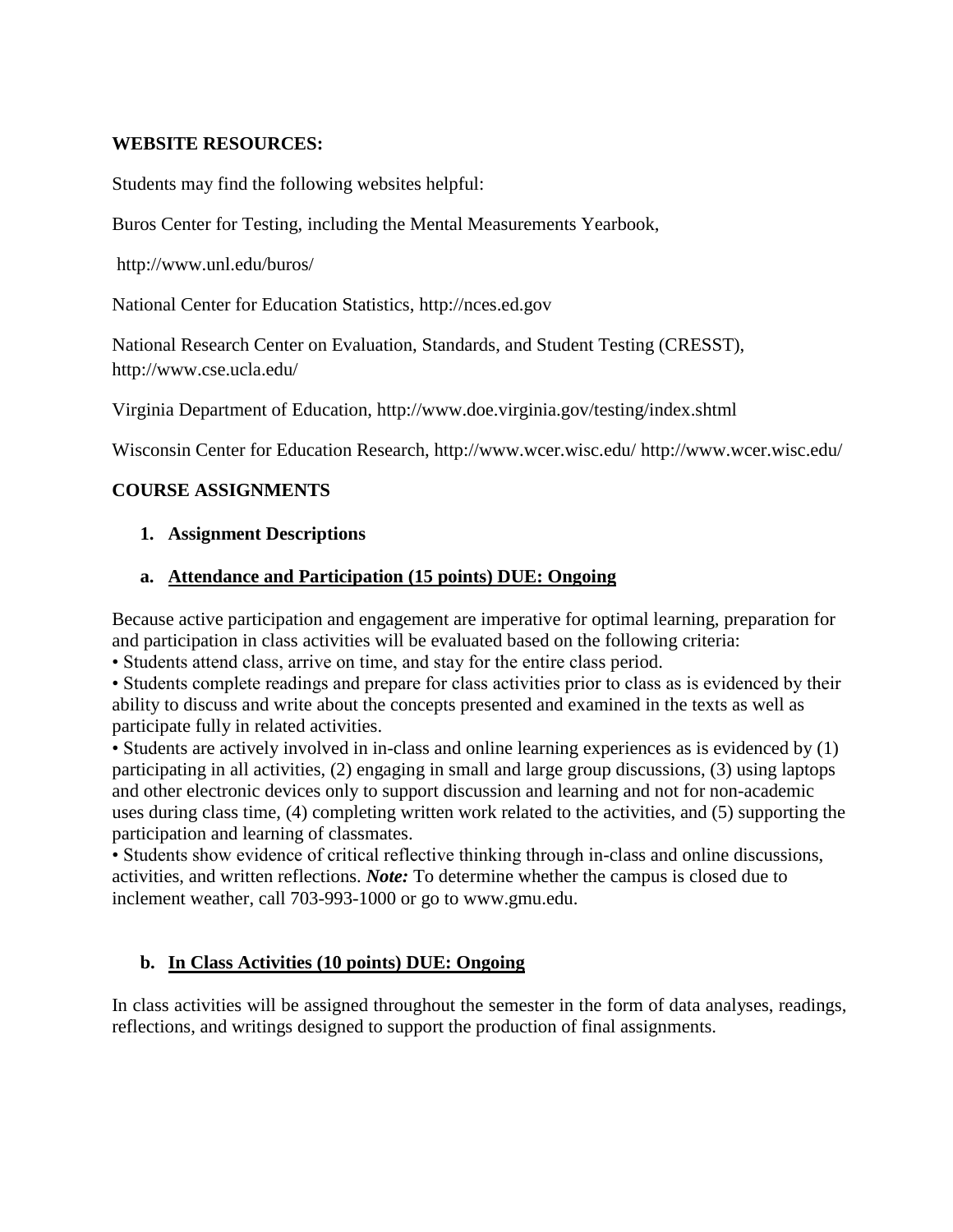#### **WEBSITE RESOURCES:**

Students may find the following websites helpful:

Buros Center for Testing, including the Mental Measurements Yearbook,

<http://www.unl.edu/buros/>

National Center for Education Statistics, [http://nces.ed.gov](http://nces.ed.gov/)

National Research Center on Evaluation, Standards, and Student Testing (CRESST), <http://www.cse.ucla.edu/>

Virginia Department of Education,<http://www.doe.virginia.gov/testing/index.shtml>

Wisconsin Center for Education Research, http://www.wcer.wisc.edu/<http://www.wcer.wisc.edu/>

#### **COURSE ASSIGNMENTS**

#### **1. Assignment Descriptions**

#### **a. Attendance and Participation (15 points) DUE: Ongoing**

Because active participation and engagement are imperative for optimal learning, preparation for and participation in class activities will be evaluated based on the following criteria:

• Students attend class, arrive on time, and stay for the entire class period.

• Students complete readings and prepare for class activities prior to class as is evidenced by their ability to discuss and write about the concepts presented and examined in the texts as well as participate fully in related activities.

• Students are actively involved in in-class and online learning experiences as is evidenced by (1) participating in all activities, (2) engaging in small and large group discussions, (3) using laptops and other electronic devices only to support discussion and learning and not for non-academic uses during class time, (4) completing written work related to the activities, and (5) supporting the participation and learning of classmates.

• Students show evidence of critical reflective thinking through in-class and online discussions, activities, and written reflections. *Note:* To determine whether the campus is closed due to inclement weather, call 703-993-1000 or go to www.gmu.edu.

#### **b. In Class Activities (10 points) DUE: Ongoing**

In class activities will be assigned throughout the semester in the form of data analyses, readings, reflections, and writings designed to support the production of final assignments.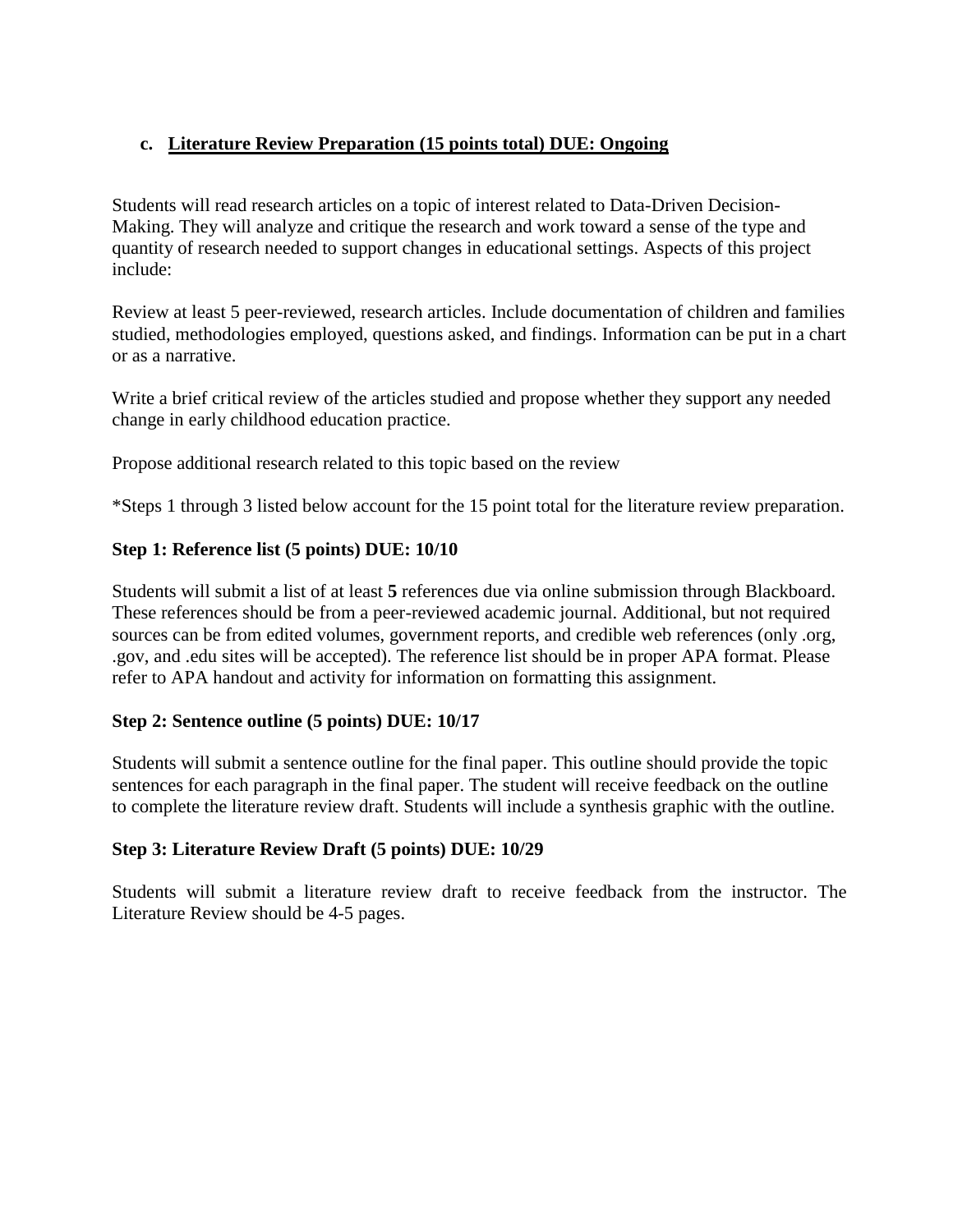# **c. Literature Review Preparation (15 points total) DUE: Ongoing**

Students will read research articles on a topic of interest related to Data-Driven Decision-Making. They will analyze and critique the research and work toward a sense of the type and quantity of research needed to support changes in educational settings. Aspects of this project include:

Review at least 5 peer-reviewed, research articles. Include documentation of children and families studied, methodologies employed, questions asked, and findings. Information can be put in a chart or as a narrative.

Write a brief critical review of the articles studied and propose whether they support any needed change in early childhood education practice.

Propose additional research related to this topic based on the review

\*Steps 1 through 3 listed below account for the 15 point total for the literature review preparation.

#### **Step 1: Reference list (5 points) DUE: 10/10**

Students will submit a list of at least **5** references due via online submission through Blackboard. These references should be from a peer-reviewed academic journal. Additional, but not required sources can be from edited volumes, government reports, and credible web references (only .org, .gov, and .edu sites will be accepted). The reference list should be in proper APA format. Please refer to APA handout and activity for information on formatting this assignment.

#### **Step 2: Sentence outline (5 points) DUE: 10/17**

Students will submit a sentence outline for the final paper. This outline should provide the topic sentences for each paragraph in the final paper. The student will receive feedback on the outline to complete the literature review draft. Students will include a synthesis graphic with the outline.

#### **Step 3: Literature Review Draft (5 points) DUE: 10/29**

Students will submit a literature review draft to receive feedback from the instructor. The Literature Review should be 4-5 pages.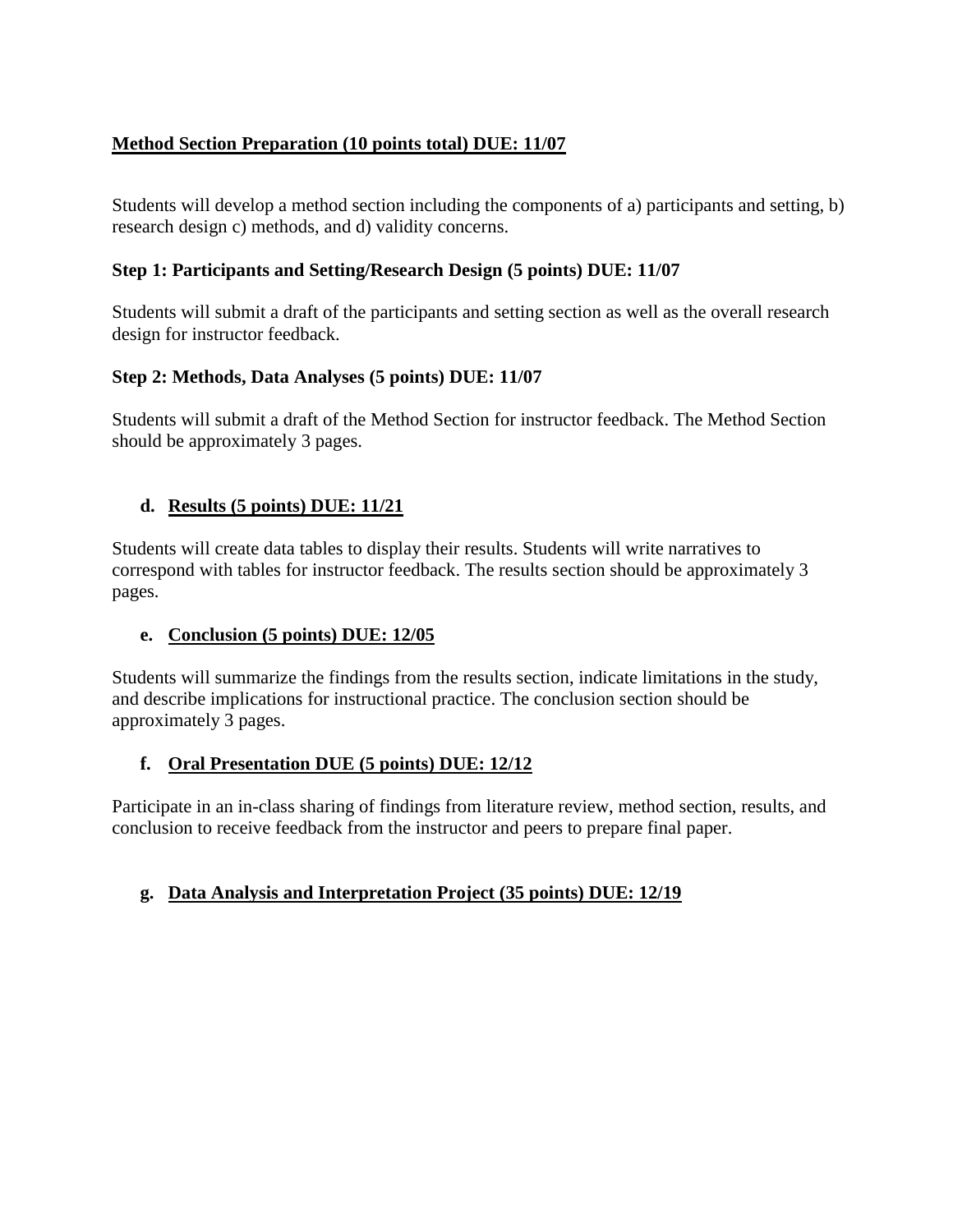# **Method Section Preparation (10 points total) DUE: 11/07**

Students will develop a method section including the components of a) participants and setting, b) research design c) methods, and d) validity concerns.

# **Step 1: Participants and Setting/Research Design (5 points) DUE: 11/07**

Students will submit a draft of the participants and setting section as well as the overall research design for instructor feedback.

# **Step 2: Methods, Data Analyses (5 points) DUE: 11/07**

Students will submit a draft of the Method Section for instructor feedback. The Method Section should be approximately 3 pages.

# **d. Results (5 points) DUE: 11/21**

Students will create data tables to display their results. Students will write narratives to correspond with tables for instructor feedback. The results section should be approximately 3 pages.

# **e. Conclusion (5 points) DUE: 12/05**

Students will summarize the findings from the results section, indicate limitations in the study, and describe implications for instructional practice. The conclusion section should be approximately 3 pages.

# **f. Oral Presentation DUE (5 points) DUE: 12/12**

Participate in an in-class sharing of findings from literature review, method section, results, and conclusion to receive feedback from the instructor and peers to prepare final paper.

# **g. Data Analysis and Interpretation Project (35 points) DUE: 12/19**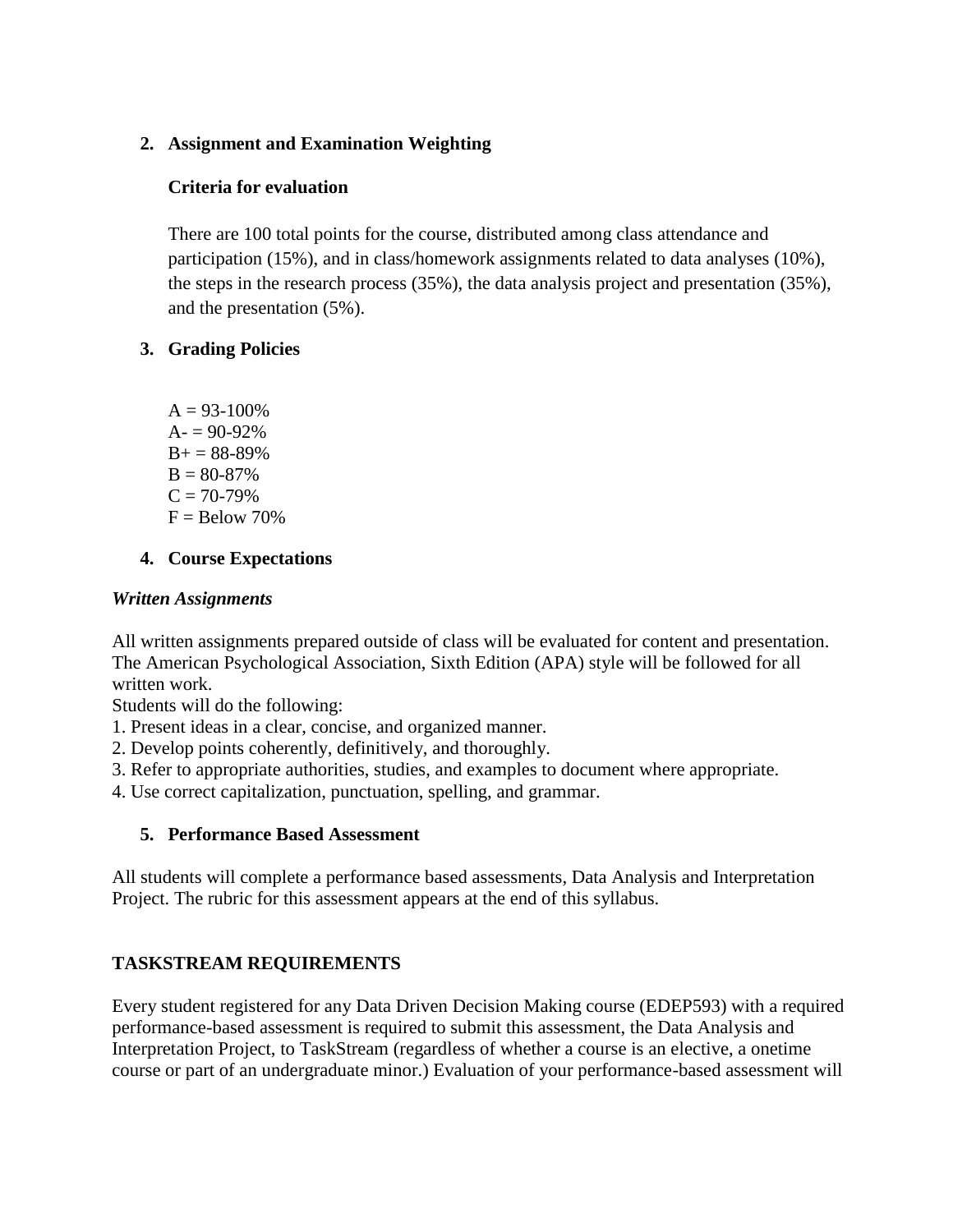### **2. Assignment and Examination Weighting**

#### **Criteria for evaluation**

There are 100 total points for the course, distributed among class attendance and participation (15%), and in class/homework assignments related to data analyses (10%), the steps in the research process (35%), the data analysis project and presentation (35%), and the presentation (5%).

### **3. Grading Policies**

 $A = 93-100%$  $A = 90-92%$  $B+ = 88-89%$  $B = 80-87%$  $C = 70-79%$  $F =$ Below 70%

### **4. Course Expectations**

#### *Written Assignments*

All written assignments prepared outside of class will be evaluated for content and presentation. The American Psychological Association, Sixth Edition (APA) style will be followed for all written work.

Students will do the following:

1. Present ideas in a clear, concise, and organized manner.

2. Develop points coherently, definitively, and thoroughly.

3. Refer to appropriate authorities, studies, and examples to document where appropriate.

4. Use correct capitalization, punctuation, spelling, and grammar.

# **5. Performance Based Assessment**

All students will complete a performance based assessments, Data Analysis and Interpretation Project. The rubric for this assessment appears at the end of this syllabus.

# **TASKSTREAM REQUIREMENTS**

Every student registered for any Data Driven Decision Making course (EDEP593) with a required performance-based assessment is required to submit this assessment, the Data Analysis and Interpretation Project, to TaskStream (regardless of whether a course is an elective, a onetime course or part of an undergraduate minor.) Evaluation of your performance-based assessment will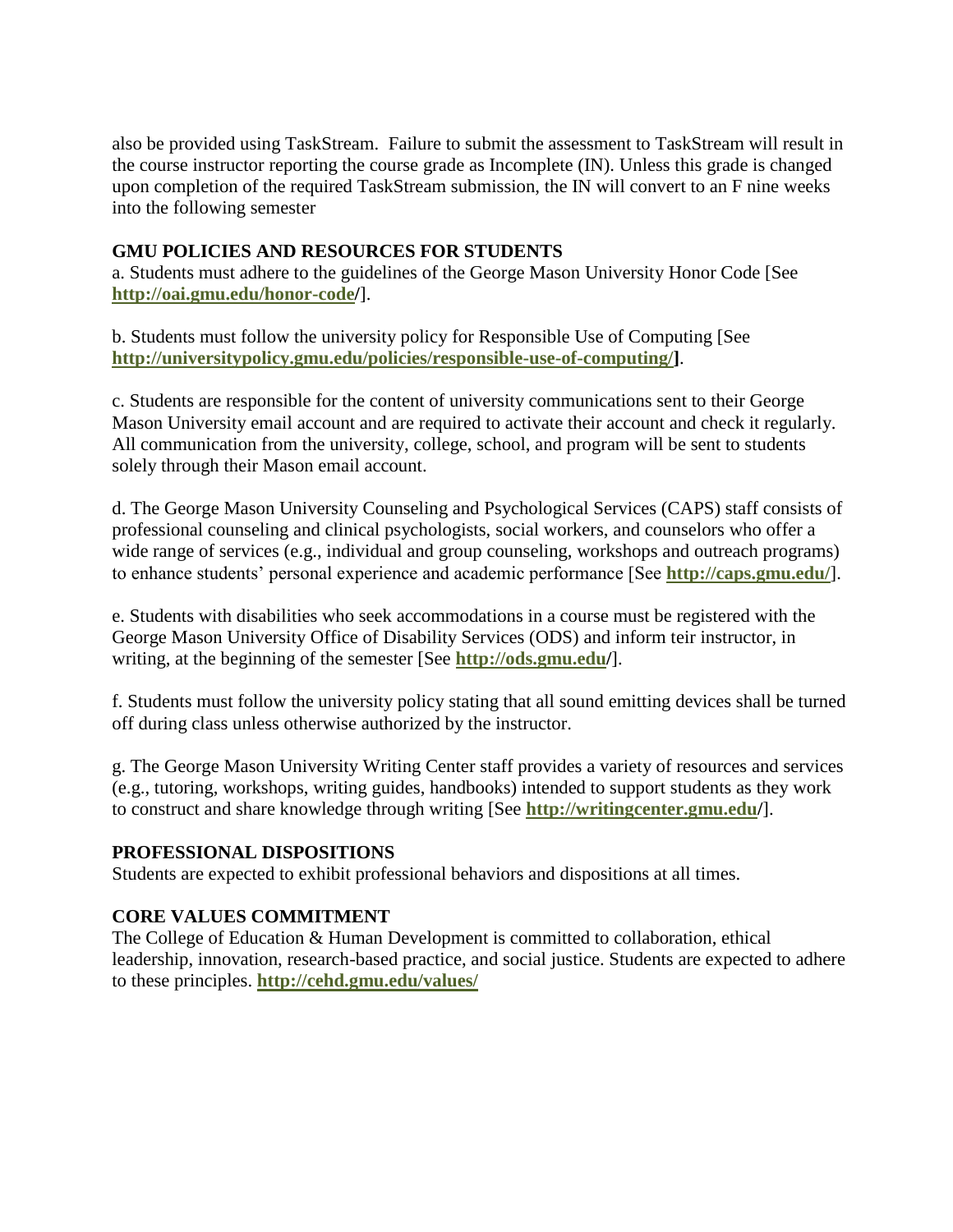also be provided using TaskStream. Failure to submit the assessment to TaskStream will result in the course instructor reporting the course grade as Incomplete (IN). Unless this grade is changed upon completion of the required TaskStream submission, the IN will convert to an F nine weeks into the following semester

#### **GMU POLICIES AND RESOURCES FOR STUDENTS**

a. Students must adhere to the guidelines of the George Mason University Honor Code [See **http://oai.gmu.edu/honor-code/**].

b. Students must follow the university policy for Responsible Use of Computing [See **[http://universitypolicy.gmu.edu/policies/responsible-use-of-computing/\]](http://universitypolicy.gmu.edu/policies/responsible-use-of-computing/)**.

c. Students are responsible for the content of university communications sent to their George Mason University email account and are required to activate their account and check it regularly. All communication from the university, college, school, and program will be sent to students solely through their Mason email account.

d. The George Mason University Counseling and Psychological Services (CAPS) staff consists of professional counseling and clinical psychologists, social workers, and counselors who offer a wide range of services (e.g., individual and group counseling, workshops and outreach programs) to enhance students' personal experience and academic performance [See **<http://caps.gmu.edu/>**].

e. Students with disabilities who seek accommodations in a course must be registered with the George Mason University Office of Disability Services (ODS) and inform teir instructor, in writing, at the beginning of the semester [See **<http://ods.gmu.edu/>**].

f. Students must follow the university policy stating that all sound emitting devices shall be turned off during class unless otherwise authorized by the instructor.

g. The George Mason University Writing Center staff provides a variety of resources and services (e.g., tutoring, workshops, writing guides, handbooks) intended to support students as they work to construct and share knowledge through writing [See **http://writingcenter.gmu.edu/**].

#### **PROFESSIONAL DISPOSITIONS**

Students are expected to exhibit professional behaviors and dispositions at all times.

#### **CORE VALUES COMMITMENT**

The College of Education & Human Development is committed to collaboration, ethical leadership, innovation, research-based practice, and social justice. Students are expected to adhere to these principles. **http://cehd.gmu.edu/values/**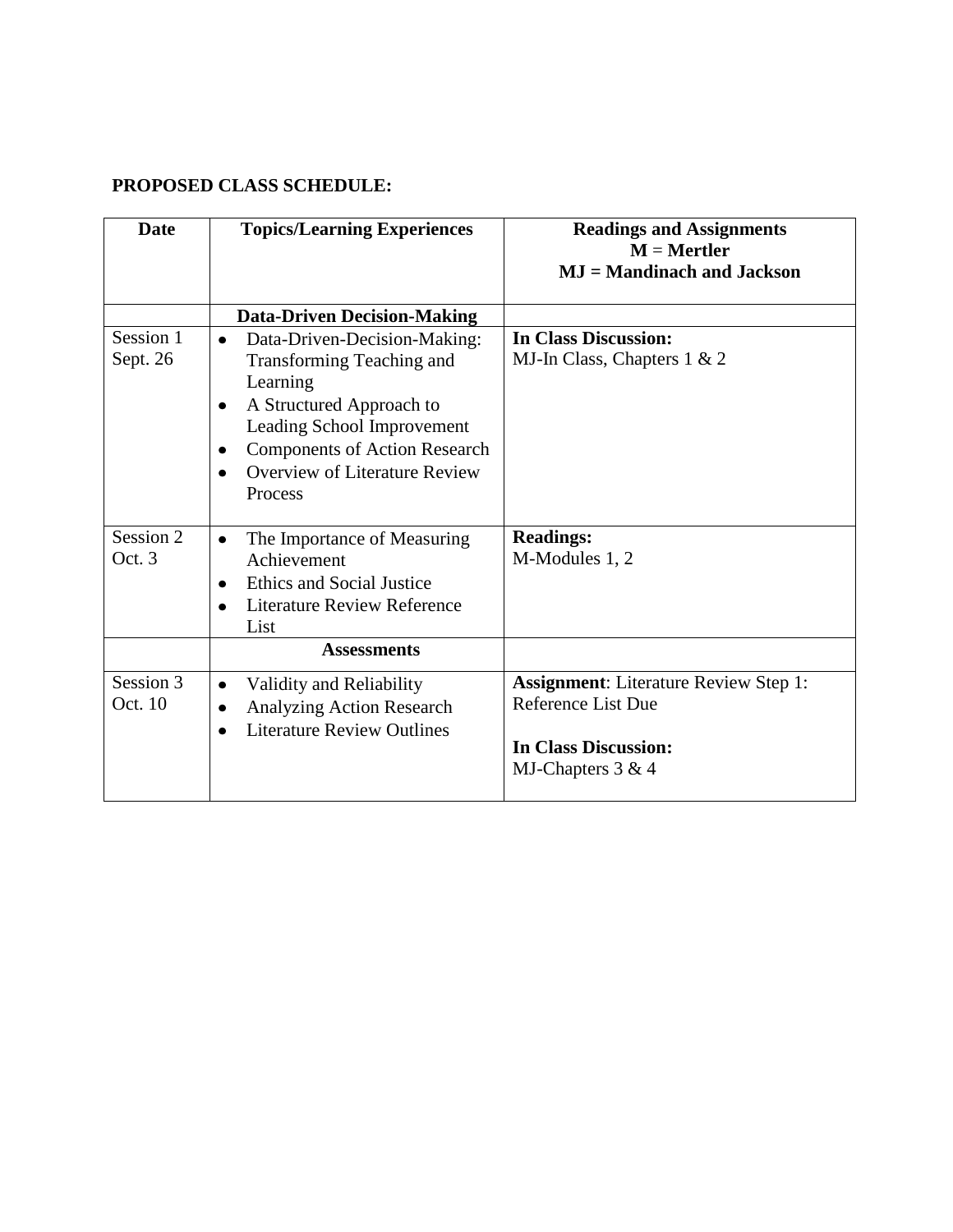# **PROPOSED CLASS SCHEDULE:**

| <b>Date</b>           | <b>Topics/Learning Experiences</b>                                                                                                                                                                                                           | <b>Readings and Assignments</b><br>$M =$ Mertler<br><b>MJ</b> = Mandinach and Jackson                                         |
|-----------------------|----------------------------------------------------------------------------------------------------------------------------------------------------------------------------------------------------------------------------------------------|-------------------------------------------------------------------------------------------------------------------------------|
|                       | <b>Data-Driven Decision-Making</b>                                                                                                                                                                                                           |                                                                                                                               |
| Session 1<br>Sept. 26 | Data-Driven-Decision-Making:<br>$\bullet$<br>Transforming Teaching and<br>Learning<br>A Structured Approach to<br>٠<br>Leading School Improvement<br><b>Components of Action Research</b><br><b>Overview of Literature Review</b><br>Process | <b>In Class Discussion:</b><br>MJ-In Class, Chapters 1 & 2                                                                    |
| Session 2<br>Oct. 3   | The Importance of Measuring<br>$\bullet$<br>Achievement<br><b>Ethics and Social Justice</b><br><b>Literature Review Reference</b><br>$\bullet$<br>List                                                                                       | <b>Readings:</b><br>M-Modules 1, 2                                                                                            |
| <b>Assessments</b>    |                                                                                                                                                                                                                                              |                                                                                                                               |
| Session 3<br>Oct. 10  | Validity and Reliability<br>$\bullet$<br><b>Analyzing Action Research</b><br>$\bullet$<br><b>Literature Review Outlines</b>                                                                                                                  | <b>Assignment:</b> Literature Review Step 1:<br><b>Reference List Due</b><br><b>In Class Discussion:</b><br>MJ-Chapters 3 & 4 |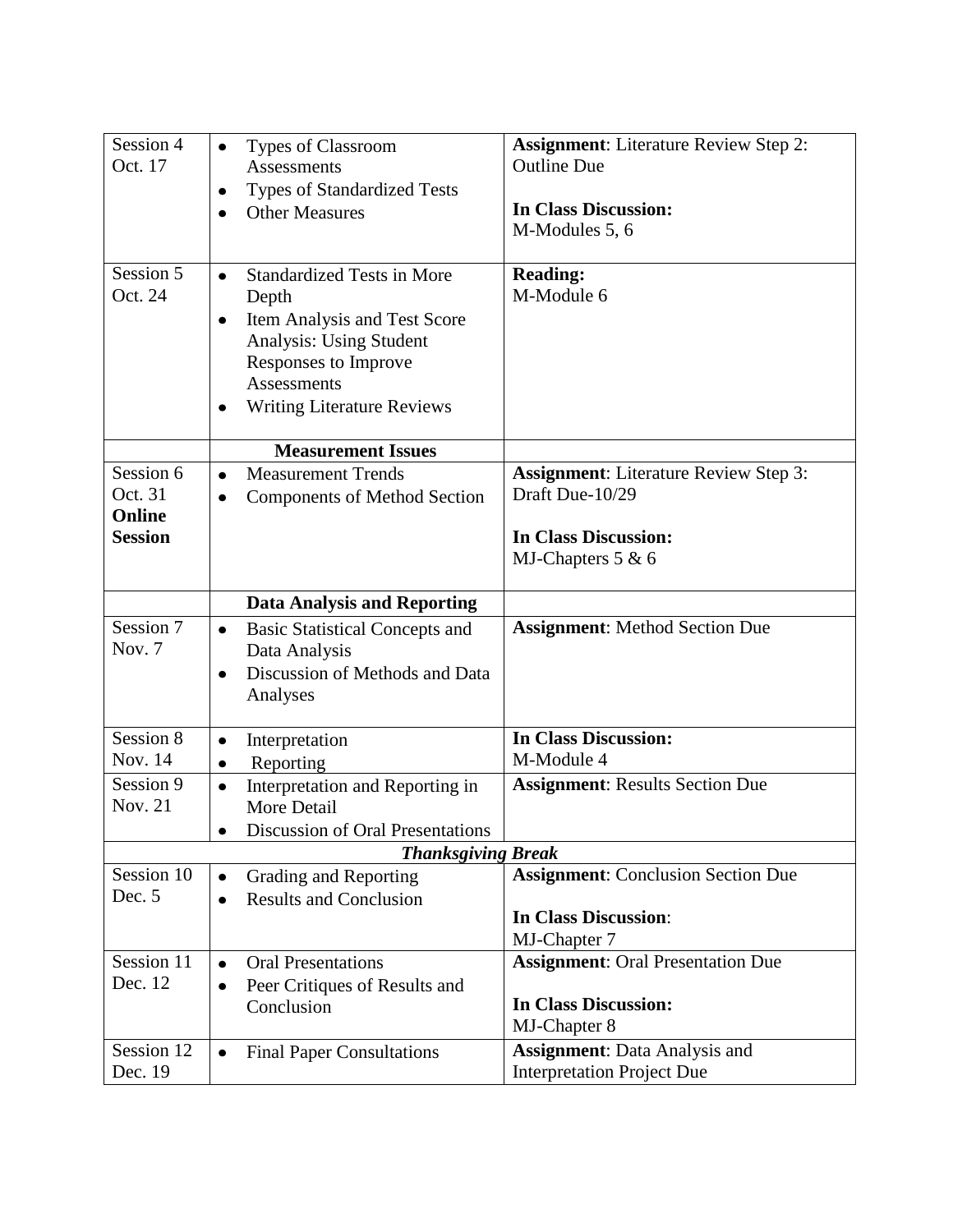| Session 4            | Types of Classroom<br>$\bullet$                                             | <b>Assignment:</b> Literature Review Step 2:                    |  |  |
|----------------------|-----------------------------------------------------------------------------|-----------------------------------------------------------------|--|--|
| Oct. 17              | <b>Assessments</b>                                                          | <b>Outline Due</b>                                              |  |  |
|                      | Types of Standardized Tests<br>٠<br><b>Other Measures</b>                   | <b>In Class Discussion:</b>                                     |  |  |
|                      |                                                                             | M-Modules 5, 6                                                  |  |  |
|                      |                                                                             |                                                                 |  |  |
| Session 5            | <b>Standardized Tests in More</b><br>$\bullet$                              | <b>Reading:</b>                                                 |  |  |
| Oct. 24              | Depth                                                                       | M-Module 6                                                      |  |  |
|                      | Item Analysis and Test Score<br>$\bullet$<br><b>Analysis: Using Student</b> |                                                                 |  |  |
|                      | Responses to Improve                                                        |                                                                 |  |  |
|                      | <b>Assessments</b>                                                          |                                                                 |  |  |
|                      | <b>Writing Literature Reviews</b>                                           |                                                                 |  |  |
|                      |                                                                             |                                                                 |  |  |
|                      | <b>Measurement Issues</b>                                                   |                                                                 |  |  |
| Session 6<br>Oct. 31 | <b>Measurement Trends</b><br>$\bullet$                                      | <b>Assignment:</b> Literature Review Step 3:<br>Draft Due-10/29 |  |  |
| Online               | <b>Components of Method Section</b>                                         |                                                                 |  |  |
| <b>Session</b>       | <b>In Class Discussion:</b>                                                 |                                                                 |  |  |
|                      |                                                                             | MJ-Chapters $5 & 6$                                             |  |  |
|                      |                                                                             |                                                                 |  |  |
|                      | <b>Data Analysis and Reporting</b>                                          |                                                                 |  |  |
| Session 7            | <b>Basic Statistical Concepts and</b><br>$\bullet$                          | <b>Assignment:</b> Method Section Due                           |  |  |
| Nov. 7               | Data Analysis                                                               |                                                                 |  |  |
|                      | Discussion of Methods and Data<br>٠<br>Analyses                             |                                                                 |  |  |
|                      |                                                                             |                                                                 |  |  |
| Session 8            | Interpretation<br>٠                                                         | <b>In Class Discussion:</b>                                     |  |  |
| Nov. 14              | Reporting<br>$\bullet$                                                      | M-Module 4                                                      |  |  |
| Session 9            | Interpretation and Reporting in<br>$\bullet$                                | <b>Assignment: Results Section Due</b>                          |  |  |
| <b>Nov. 21</b>       | More Detail                                                                 |                                                                 |  |  |
|                      | <b>Discussion of Oral Presentations</b><br>$\bullet$                        |                                                                 |  |  |
| Session 10           | <b>Thanksgiving Break</b><br><b>Assignment:</b> Conclusion Section Due      |                                                                 |  |  |
| Dec. 5               | Grading and Reporting<br>٠<br><b>Results and Conclusion</b><br>$\bullet$    |                                                                 |  |  |
|                      |                                                                             | <b>In Class Discussion:</b>                                     |  |  |
|                      |                                                                             | MJ-Chapter 7                                                    |  |  |
| Session 11           | <b>Oral Presentations</b><br>$\bullet$                                      | <b>Assignment: Oral Presentation Due</b>                        |  |  |
| Dec. 12              | Peer Critiques of Results and<br>$\bullet$                                  |                                                                 |  |  |
|                      | Conclusion                                                                  | <b>In Class Discussion:</b><br>MJ-Chapter 8                     |  |  |
| Session 12           |                                                                             | <b>Assignment:</b> Data Analysis and                            |  |  |
| Dec. 19              | <b>Final Paper Consultations</b>                                            | <b>Interpretation Project Due</b>                               |  |  |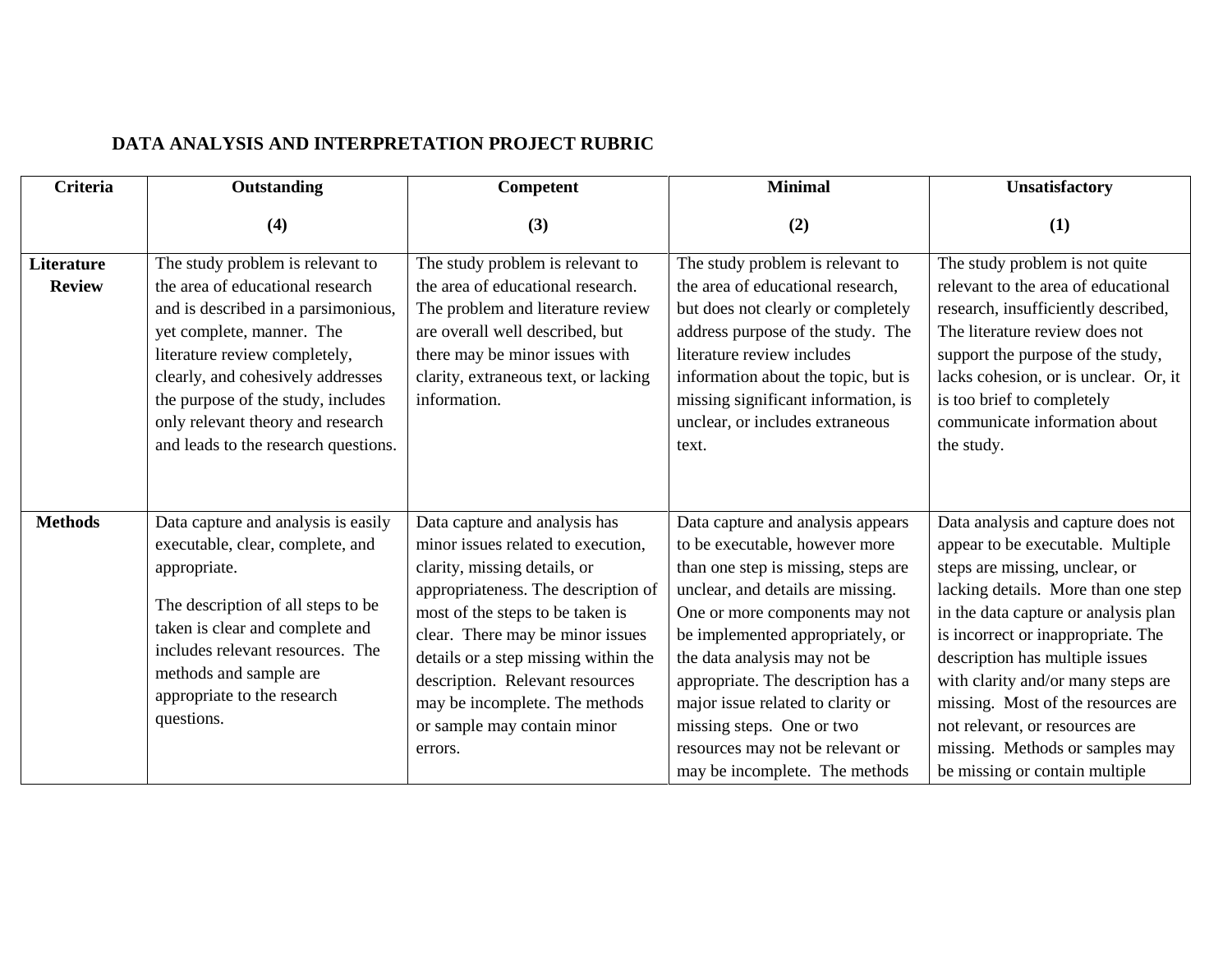# **DATA ANALYSIS AND INTERPRETATION PROJECT RUBRIC**

| <b>Criteria</b>             | Outstanding                                                               | <b>Competent</b>                                                      | <b>Minimal</b>                                                          | <b>Unsatisfactory</b>                                                    |
|-----------------------------|---------------------------------------------------------------------------|-----------------------------------------------------------------------|-------------------------------------------------------------------------|--------------------------------------------------------------------------|
|                             | (4)                                                                       | (3)                                                                   | (2)                                                                     | (1)                                                                      |
| Literature<br><b>Review</b> | The study problem is relevant to<br>the area of educational research      | The study problem is relevant to<br>the area of educational research. | The study problem is relevant to<br>the area of educational research,   | The study problem is not quite<br>relevant to the area of educational    |
|                             | and is described in a parsimonious,                                       | The problem and literature review                                     | but does not clearly or completely                                      | research, insufficiently described,                                      |
|                             | yet complete, manner. The                                                 | are overall well described, but                                       | address purpose of the study. The                                       | The literature review does not                                           |
|                             | literature review completely,                                             | there may be minor issues with                                        | literature review includes                                              | support the purpose of the study,                                        |
|                             | clearly, and cohesively addresses                                         | clarity, extraneous text, or lacking                                  | information about the topic, but is                                     | lacks cohesion, or is unclear. Or, it                                    |
|                             | the purpose of the study, includes                                        | information.                                                          | missing significant information, is                                     | is too brief to completely                                               |
|                             | only relevant theory and research<br>and leads to the research questions. |                                                                       | unclear, or includes extraneous<br>text.                                | communicate information about<br>the study.                              |
|                             |                                                                           |                                                                       |                                                                         |                                                                          |
|                             |                                                                           |                                                                       |                                                                         |                                                                          |
| <b>Methods</b>              | Data capture and analysis is easily                                       | Data capture and analysis has                                         | Data capture and analysis appears                                       | Data analysis and capture does not                                       |
|                             | executable, clear, complete, and                                          | minor issues related to execution,                                    | to be executable, however more                                          | appear to be executable. Multiple                                        |
|                             | appropriate.                                                              | clarity, missing details, or                                          | than one step is missing, steps are                                     | steps are missing, unclear, or                                           |
|                             | The description of all steps to be                                        | appropriateness. The description of                                   | unclear, and details are missing.                                       | lacking details. More than one step                                      |
|                             | taken is clear and complete and                                           | most of the steps to be taken is                                      | One or more components may not                                          | in the data capture or analysis plan                                     |
|                             | includes relevant resources. The                                          | clear. There may be minor issues                                      | be implemented appropriately, or                                        | is incorrect or inappropriate. The                                       |
|                             | methods and sample are                                                    | details or a step missing within the                                  | the data analysis may not be                                            | description has multiple issues                                          |
|                             | appropriate to the research                                               | description. Relevant resources<br>may be incomplete. The methods     | appropriate. The description has a<br>major issue related to clarity or | with clarity and/or many steps are<br>missing. Most of the resources are |
|                             | questions.                                                                | or sample may contain minor                                           | missing steps. One or two                                               | not relevant, or resources are                                           |
|                             |                                                                           | errors.                                                               | resources may not be relevant or                                        | missing. Methods or samples may                                          |
|                             |                                                                           |                                                                       | may be incomplete. The methods                                          | be missing or contain multiple                                           |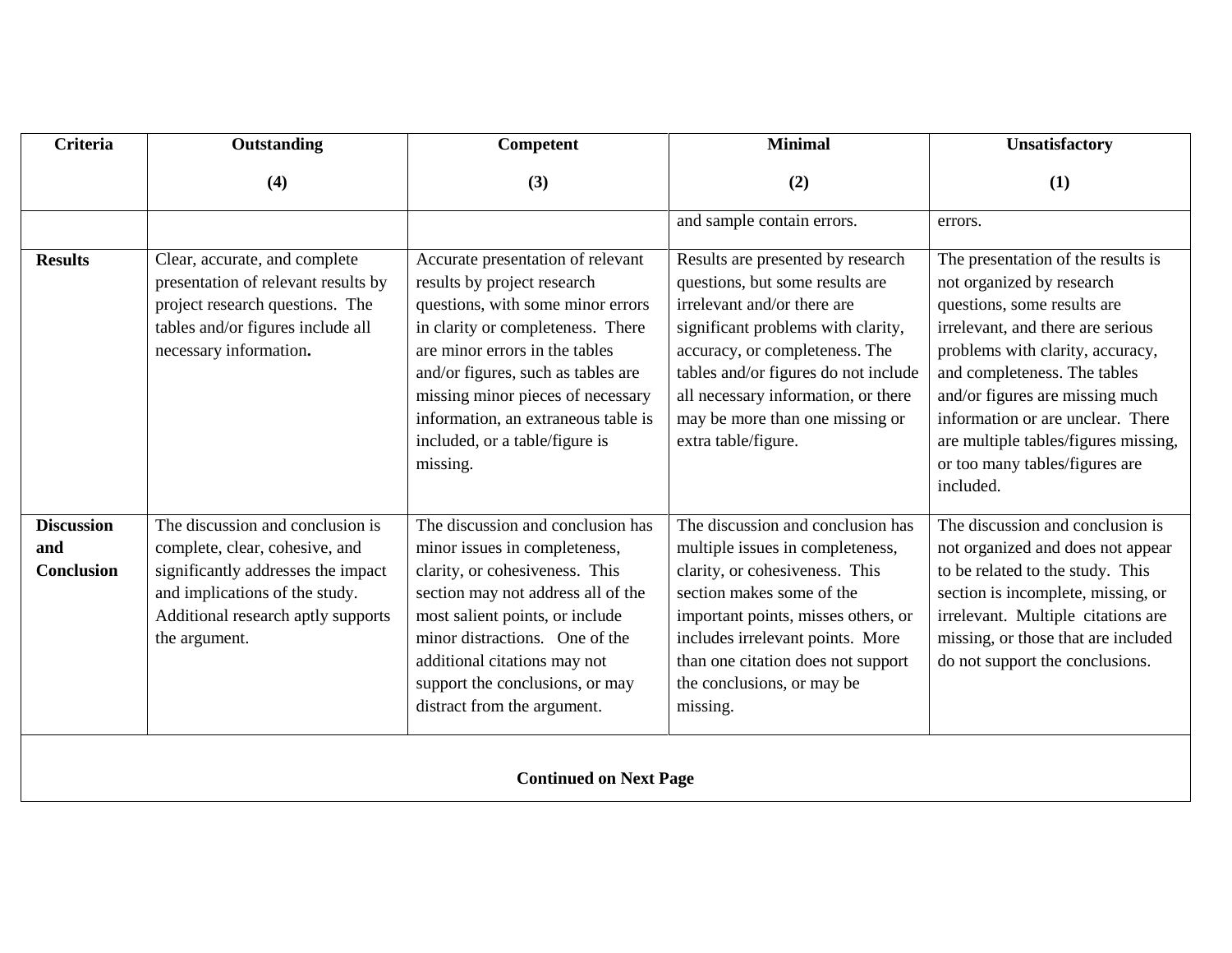| <b>Criteria</b>                               | Outstanding                                                                                                                                                                                       | Competent                                                                                                                                                                                                                                                                                                                                    | <b>Minimal</b>                                                                                                                                                                                                                                                                                                       | <b>Unsatisfactory</b>                                                                                                                                                                                                                                                                                                                                                  |
|-----------------------------------------------|---------------------------------------------------------------------------------------------------------------------------------------------------------------------------------------------------|----------------------------------------------------------------------------------------------------------------------------------------------------------------------------------------------------------------------------------------------------------------------------------------------------------------------------------------------|----------------------------------------------------------------------------------------------------------------------------------------------------------------------------------------------------------------------------------------------------------------------------------------------------------------------|------------------------------------------------------------------------------------------------------------------------------------------------------------------------------------------------------------------------------------------------------------------------------------------------------------------------------------------------------------------------|
|                                               | (4)                                                                                                                                                                                               | (3)                                                                                                                                                                                                                                                                                                                                          | (2)                                                                                                                                                                                                                                                                                                                  | (1)                                                                                                                                                                                                                                                                                                                                                                    |
|                                               |                                                                                                                                                                                                   |                                                                                                                                                                                                                                                                                                                                              | and sample contain errors.                                                                                                                                                                                                                                                                                           | errors.                                                                                                                                                                                                                                                                                                                                                                |
| <b>Results</b>                                | Clear, accurate, and complete<br>presentation of relevant results by<br>project research questions. The<br>tables and/or figures include all<br>necessary information.                            | Accurate presentation of relevant<br>results by project research<br>questions, with some minor errors<br>in clarity or completeness. There<br>are minor errors in the tables<br>and/or figures, such as tables are<br>missing minor pieces of necessary<br>information, an extraneous table is<br>included, or a table/figure is<br>missing. | Results are presented by research<br>questions, but some results are<br>irrelevant and/or there are<br>significant problems with clarity,<br>accuracy, or completeness. The<br>tables and/or figures do not include<br>all necessary information, or there<br>may be more than one missing or<br>extra table/figure. | The presentation of the results is<br>not organized by research<br>questions, some results are<br>irrelevant, and there are serious<br>problems with clarity, accuracy,<br>and completeness. The tables<br>and/or figures are missing much<br>information or are unclear. There<br>are multiple tables/figures missing,<br>or too many tables/figures are<br>included. |
| <b>Discussion</b><br>and<br><b>Conclusion</b> | The discussion and conclusion is<br>complete, clear, cohesive, and<br>significantly addresses the impact<br>and implications of the study.<br>Additional research aptly supports<br>the argument. | The discussion and conclusion has<br>minor issues in completeness,<br>clarity, or cohesiveness. This<br>section may not address all of the<br>most salient points, or include<br>minor distractions. One of the<br>additional citations may not<br>support the conclusions, or may<br>distract from the argument.                            | The discussion and conclusion has<br>multiple issues in completeness,<br>clarity, or cohesiveness. This<br>section makes some of the<br>important points, misses others, or<br>includes irrelevant points. More<br>than one citation does not support<br>the conclusions, or may be<br>missing.                      | The discussion and conclusion is<br>not organized and does not appear<br>to be related to the study. This<br>section is incomplete, missing, or<br>irrelevant. Multiple citations are<br>missing, or those that are included<br>do not support the conclusions.                                                                                                        |
| <b>Continued on Next Page</b>                 |                                                                                                                                                                                                   |                                                                                                                                                                                                                                                                                                                                              |                                                                                                                                                                                                                                                                                                                      |                                                                                                                                                                                                                                                                                                                                                                        |